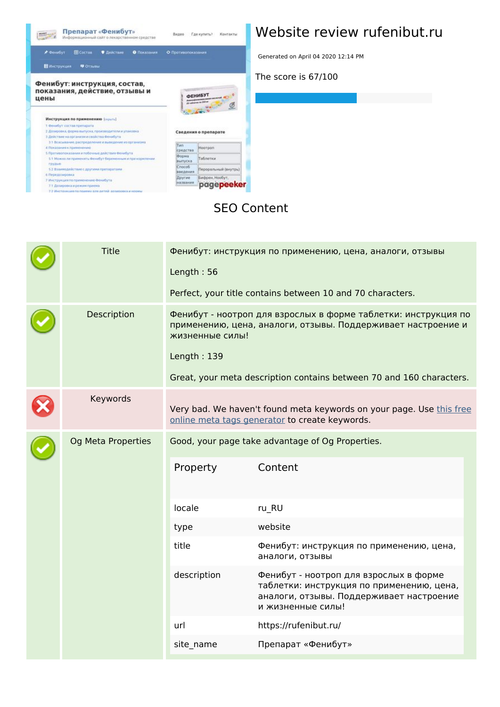

## **Website review rufenibut.ru**

Generated on April 04 2020 12:14 PM

**The score is 67/100**

#### **SEO Content**

|  | <b>Title</b>       | Length: $56$                                                                                                                                                                                                                             | Фенибут: инструкция по применению, цена, аналоги, отзывы<br>Perfect, your title contains between 10 and 70 characters.                               |  |
|--|--------------------|------------------------------------------------------------------------------------------------------------------------------------------------------------------------------------------------------------------------------------------|------------------------------------------------------------------------------------------------------------------------------------------------------|--|
|  | Description        | Фенибут - ноотроп для взрослых в форме таблетки: инструкция по<br>применению, цена, аналоги, отзывы. Поддерживает настроение и<br>жизненные силы!<br>Length: 139<br>Great, your meta description contains between 70 and 160 characters. |                                                                                                                                                      |  |
|  | Keywords           |                                                                                                                                                                                                                                          | Very bad. We haven't found meta keywords on your page. Use this free<br>online meta tags generator to create keywords.                               |  |
|  | Og Meta Properties | Property                                                                                                                                                                                                                                 | Good, your page take advantage of Og Properties.<br>Content                                                                                          |  |
|  |                    | locale                                                                                                                                                                                                                                   | ru RU                                                                                                                                                |  |
|  |                    | type                                                                                                                                                                                                                                     | website                                                                                                                                              |  |
|  |                    | title                                                                                                                                                                                                                                    | Фенибут: инструкция по применению, цена,<br>аналоги, отзывы                                                                                          |  |
|  |                    | description                                                                                                                                                                                                                              | Фенибут - ноотроп для взрослых в форме<br>таблетки: инструкция по применению, цена,<br>аналоги, отзывы. Поддерживает настроение<br>и жизненные силы! |  |
|  |                    | url                                                                                                                                                                                                                                      | https://rufenibut.ru/                                                                                                                                |  |
|  |                    | site_name                                                                                                                                                                                                                                | Препарат «Фенибут»                                                                                                                                   |  |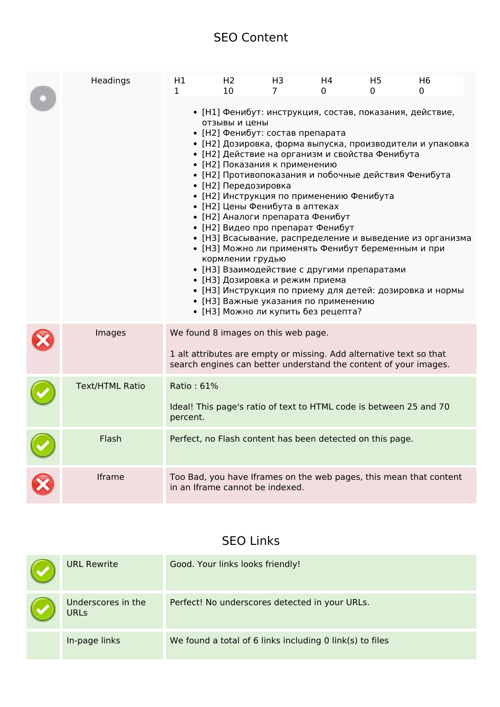#### **SEO Content**

| Headings               | H1<br>1                                                                                                                                                                                                                                                                                                                                                                                                                                                                                                                                                                                                                                                                                                                                                                                                                                                                   | H <sub>2</sub><br>10 | H <sub>3</sub><br>7 | H4<br>0 | H <sub>5</sub><br>0 | H <sub>6</sub><br>0 |
|------------------------|---------------------------------------------------------------------------------------------------------------------------------------------------------------------------------------------------------------------------------------------------------------------------------------------------------------------------------------------------------------------------------------------------------------------------------------------------------------------------------------------------------------------------------------------------------------------------------------------------------------------------------------------------------------------------------------------------------------------------------------------------------------------------------------------------------------------------------------------------------------------------|----------------------|---------------------|---------|---------------------|---------------------|
|                        | • [Н1] Фенибут: инструкция, состав, показания, действие,<br>отзывы и цены<br>• [Н2] Фенибут: состав препарата<br>• [Н2] Дозировка, форма выпуска, производители и упаковка<br>• [Н2] Действие на организм и свойства Фенибута<br>• [Н2] Показания к применению<br>• [Н2] Противопоказания и побочные действия Фенибута<br>• [Н2] Передозировка<br>• [Н2] Инструкция по применению Фенибута<br>• [Н2] Цены Фенибута в аптеках<br>• [Н2] Аналоги препарата Фенибут<br>• [Н2] Видео про препарат Фенибут<br>• [НЗ] Всасывание, распределение и выведение из организма<br>• [НЗ] Можно ли применять Фенибут беременным и при<br>кормлении грудью<br>• [НЗ] Взаимодействие с другими препаратами<br>• [НЗ] Дозировка и режим приема<br>• [НЗ] Инструкция по приему для детей: дозировка и нормы<br>• [НЗ] Важные указания по применению<br>• [НЗ] Можно ли купить без рецепта? |                      |                     |         |                     |                     |
| Images                 | We found 8 images on this web page.<br>1 alt attributes are empty or missing. Add alternative text so that<br>search engines can better understand the content of your images.                                                                                                                                                                                                                                                                                                                                                                                                                                                                                                                                                                                                                                                                                            |                      |                     |         |                     |                     |
| <b>Text/HTML Ratio</b> | Ratio: 61%<br>Ideal! This page's ratio of text to HTML code is between 25 and 70<br>percent.                                                                                                                                                                                                                                                                                                                                                                                                                                                                                                                                                                                                                                                                                                                                                                              |                      |                     |         |                     |                     |
| Flash                  | Perfect, no Flash content has been detected on this page.                                                                                                                                                                                                                                                                                                                                                                                                                                                                                                                                                                                                                                                                                                                                                                                                                 |                      |                     |         |                     |                     |
| Iframe                 | Too Bad, you have Iframes on the web pages, this mean that content<br>in an Iframe cannot be indexed.                                                                                                                                                                                                                                                                                                                                                                                                                                                                                                                                                                                                                                                                                                                                                                     |                      |                     |         |                     |                     |

#### **SEO Links**

| <b>URL Rewrite</b>                | Good. Your links looks friendly!                         |
|-----------------------------------|----------------------------------------------------------|
| Underscores in the<br><b>URLS</b> | Perfect! No underscores detected in your URLs.           |
| In-page links                     | We found a total of 6 links including 0 link(s) to files |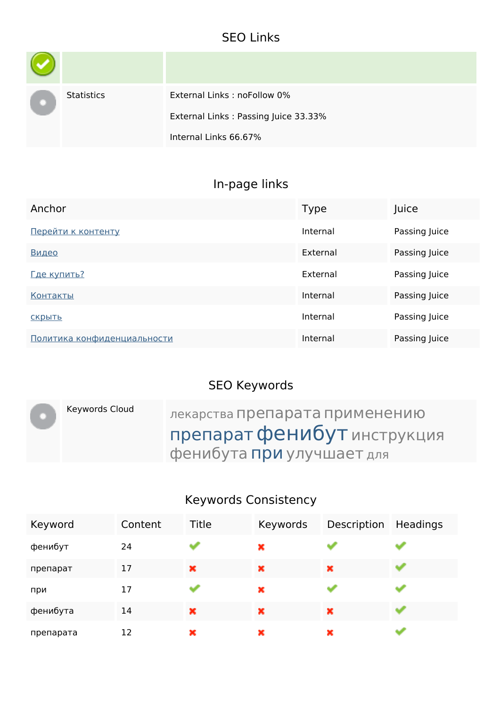### **SEO Links**

| <b>Statistics</b> | External Links: noFollow 0%          |
|-------------------|--------------------------------------|
|                   | External Links: Passing Juice 33.33% |
|                   | Internal Links 66.67%                |

# **In-page links**

| Anchor                      | <b>Type</b> | Juice         |
|-----------------------------|-------------|---------------|
| Перейти к контенту          | Internal    | Passing Juice |
| Видео                       | External    | Passing Juice |
| Где купить?                 | External    | Passing Juice |
| <b>Контакты</b>             | Internal    | Passing Juice |
| СКРЫТЬ                      | Internal    | Passing Juice |
| Политика конфиденциальности | Internal    | Passing Juice |

## **SEO Keywords**

| Keywords Cloud | лекарства препарата применению |
|----------------|--------------------------------|
|                | препарат фенибут инструкция    |
|                | фенибута при улучшает для      |

## **Keywords Consistency**

| Keyword   | Content | <b>Title</b> | Keywords | Description | <b>Headings</b> |
|-----------|---------|--------------|----------|-------------|-----------------|
| фенибут   | 24      |              | ×        |             |                 |
| препарат  | 17      | ×            | ×        | ×           |                 |
| при       | 17      |              | ×        |             |                 |
| фенибута  | 14      | ×            | ×        | ×           |                 |
| препарата | 12      | ×            | ×        | ×           |                 |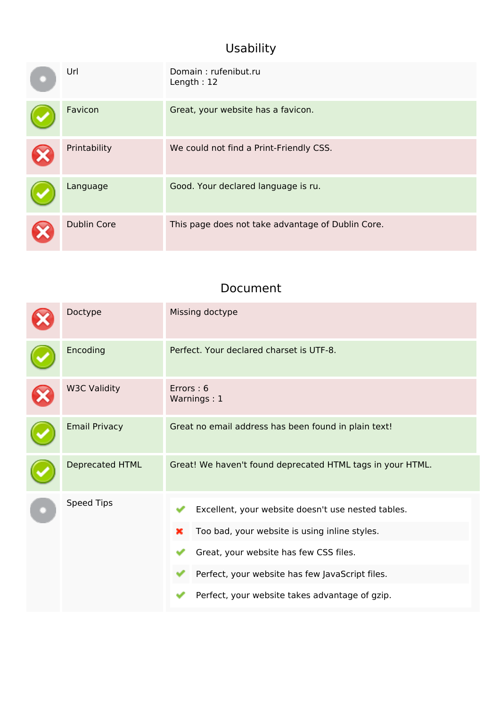## **Usability**

| Url                | Domain: rufenibut.ru<br>Length: 12                |
|--------------------|---------------------------------------------------|
| Favicon            | Great, your website has a favicon.                |
| Printability       | We could not find a Print-Friendly CSS.           |
| Language           | Good. Your declared language is ru.               |
| <b>Dublin Core</b> | This page does not take advantage of Dublin Core. |

#### **Document**

| Doctype              | Missing doctype                                                                                                                                                                                                                                         |  |  |
|----------------------|---------------------------------------------------------------------------------------------------------------------------------------------------------------------------------------------------------------------------------------------------------|--|--|
| Encoding             | Perfect. Your declared charset is UTF-8.                                                                                                                                                                                                                |  |  |
| <b>W3C Validity</b>  | Errors: 6<br>Warnings: 1                                                                                                                                                                                                                                |  |  |
| <b>Email Privacy</b> | Great no email address has been found in plain text!                                                                                                                                                                                                    |  |  |
| Deprecated HTML      | Great! We haven't found deprecated HTML tags in your HTML.                                                                                                                                                                                              |  |  |
| Speed Tips           | Excellent, your website doesn't use nested tables.<br>Too bad, your website is using inline styles.<br>×<br>Great, your website has few CSS files.<br>Perfect, your website has few JavaScript files.<br>Perfect, your website takes advantage of gzip. |  |  |